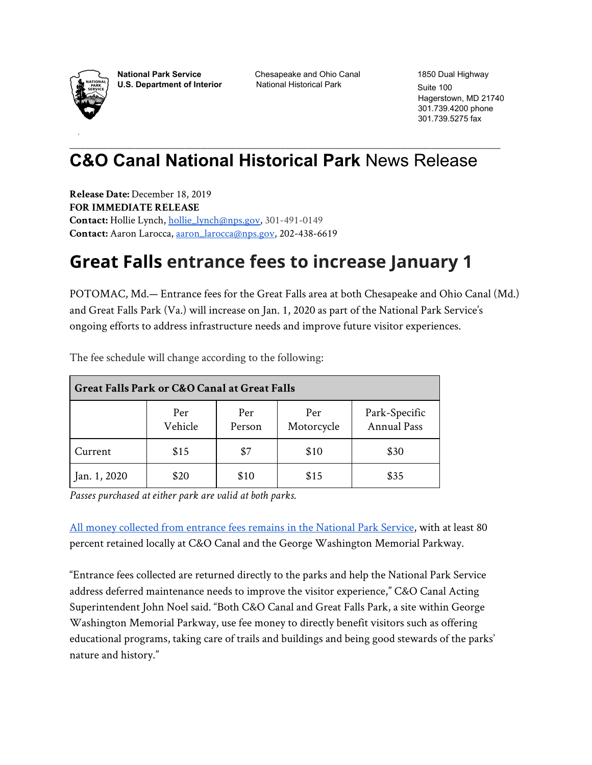

**National Park Service** Chesapeake and Ohio Canal 1850 Dual Highway

**U.S. Department of Interior** National Historical Park Suite 100

Hagerstown, MD 21740 301.739.4200 phone 301.739.5275 fax

## \_\_\_\_\_\_\_\_\_\_\_\_\_\_\_\_\_\_\_\_\_\_\_\_\_\_\_\_\_\_\_\_\_\_\_\_\_\_\_\_\_\_\_\_\_\_\_\_\_\_\_\_\_\_\_\_\_\_\_\_\_\_\_\_\_\_\_\_\_\_\_\_\_\_\_\_\_\_\_\_\_\_\_\_\_\_\_\_\_\_\_\_\_\_\_\_\_\_\_\_\_\_\_\_\_\_\_\_\_\_\_\_ **C&O Canal National Historical Park** News Release

**Release Date:** December 18, 2019 **FOR IMMEDIATE RELEASE Contact:** Hollie Lynch, [hollie\\_lynch@nps.gov](mailto:hollie_lynch@nps.gov), 301-491-0149 **Contact:** Aaron Larocca, [aaron\\_larocca@nps.gov,](mailto:aaron_larocca@nps.gov) 202-438-6619

## **Great Falls entrance fees to increase January 1**

POTOMAC, Md.— Entrance fees for the Great Falls area at both Chesapeake and Ohio Canal (Md.) and Great Falls Park (Va.) will increase on Jan. 1, 2020 as part of the National Park Service's ongoing efforts to address infrastructure needs and improve future visitor experiences.

| Great Falls Park or C&O Canal at Great Falls |                |               |                   |                                     |
|----------------------------------------------|----------------|---------------|-------------------|-------------------------------------|
|                                              | Per<br>Vehicle | Per<br>Person | Per<br>Motorcycle | Park-Specific<br><b>Annual Pass</b> |
| Current                                      | \$15           | \$7           | \$10              | \$30                                |
| Jan. 1, 2020                                 | \$20           | \$10          | \$15              | \$35                                |

The fee schedule will change according to the following:

*Passes purchased at either park are valid at both parks.*

[All money collected from entrance fees remains in the National Park Service](https://www.nps.gov/aboutus/fees-at-work.htm), with at least 80 percent retained locally at C&O Canal and the George Washington Memorial Parkway.

"Entrance fees collected are returned directly to the parks and help the National Park Service address deferred maintenance needs to improve the visitor experience," C&O Canal Acting Superintendent John Noel said. "Both C&O Canal and Great Falls Park, a site within George Washington Memorial Parkway, use fee money to directly benefit visitors such as offering educational programs, taking care of trails and buildings and being good stewards of the parks' nature and history."